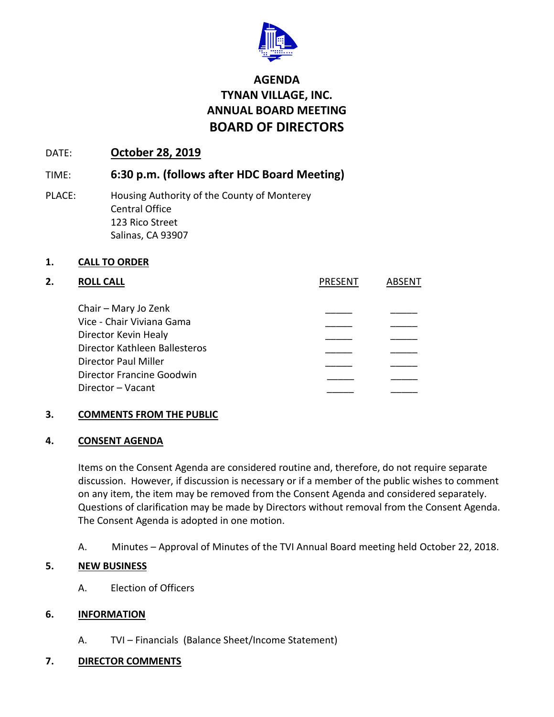

# **AGENDA TYNAN VILLAGE, INC. ANNUAL BOARD MEETING BOARD OF DIRECTORS**

### DATE: **October 28, 2019**

## TIME: **6:30 p.m. (follows after HDC Board Meeting)**

PLACE: Housing Authority of the County of Monterey Central Office 123 Rico Street Salinas, CA 93907

### **1. CALL TO ORDER**

| 2. | <b>ROLL CALL</b>                               | <b>PRESENT</b> | ARSENT |
|----|------------------------------------------------|----------------|--------|
|    | Chair – Mary Jo Zenk                           |                |        |
|    | Vice - Chair Viviana Gama                      |                |        |
|    | Director Kevin Healy                           |                |        |
|    | Director Kathleen Ballesteros                  |                |        |
|    | <b>Director Paul Miller</b>                    |                |        |
|    | Director Francine Goodwin<br>Director – Vacant |                |        |
|    |                                                |                |        |

### **3. COMMENTS FROM THE PUBLIC**

#### **4. CONSENT AGENDA**

Items on the Consent Agenda are considered routine and, therefore, do not require separate discussion. However, if discussion is necessary or if a member of the public wishes to comment on any item, the item may be removed from the Consent Agenda and considered separately. Questions of clarification may be made by Directors without removal from the Consent Agenda. The Consent Agenda is adopted in one motion.

A. Minutes – Approval of Minutes of the TVI Annual Board meeting held October 22, 2018.

### **5. NEW BUSINESS**

A. Election of Officers

### **6. INFORMATION**

A. TVI – Financials (Balance Sheet/Income Statement)

### **7. DIRECTOR COMMENTS**